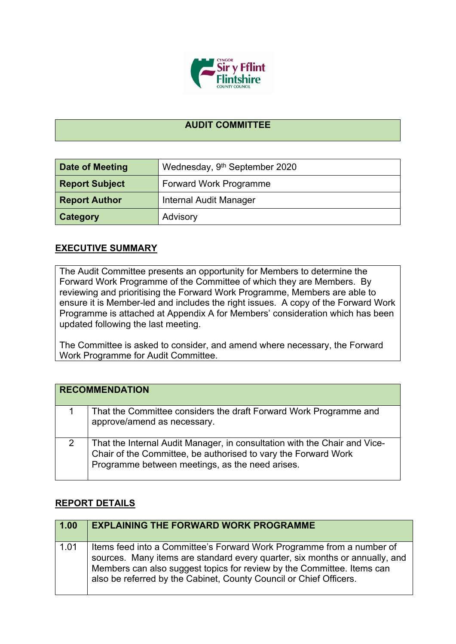

## **AUDIT COMMITTEE**

| <b>Date of Meeting</b> | Wednesday, 9 <sup>th</sup> September 2020 |
|------------------------|-------------------------------------------|
| <b>Report Subject</b>  | Forward Work Programme                    |
| <b>Report Author</b>   | Internal Audit Manager                    |
| <b>Category</b>        | Advisory                                  |

## **EXECUTIVE SUMMARY**

The Audit Committee presents an opportunity for Members to determine the Forward Work Programme of the Committee of which they are Members. By reviewing and prioritising the Forward Work Programme, Members are able to ensure it is Member-led and includes the right issues. A copy of the Forward Work Programme is attached at Appendix A for Members' consideration which has been updated following the last meeting.

The Committee is asked to consider, and amend where necessary, the Forward Work Programme for Audit Committee.

|   | <b>RECOMMENDATION</b>                                                                                                                                                                          |
|---|------------------------------------------------------------------------------------------------------------------------------------------------------------------------------------------------|
|   | That the Committee considers the draft Forward Work Programme and<br>approve/amend as necessary.                                                                                               |
| 2 | That the Internal Audit Manager, in consultation with the Chair and Vice-<br>Chair of the Committee, be authorised to vary the Forward Work<br>Programme between meetings, as the need arises. |

## **REPORT DETAILS**

| $\boxed{1.00}$ | <b>EXPLAINING THE FORWARD WORK PROGRAMME</b>                                                                                                                                                                                                                                                         |
|----------------|------------------------------------------------------------------------------------------------------------------------------------------------------------------------------------------------------------------------------------------------------------------------------------------------------|
| 1.01           | Items feed into a Committee's Forward Work Programme from a number of<br>sources. Many items are standard every quarter, six months or annually, and<br>Members can also suggest topics for review by the Committee. Items can<br>also be referred by the Cabinet, County Council or Chief Officers. |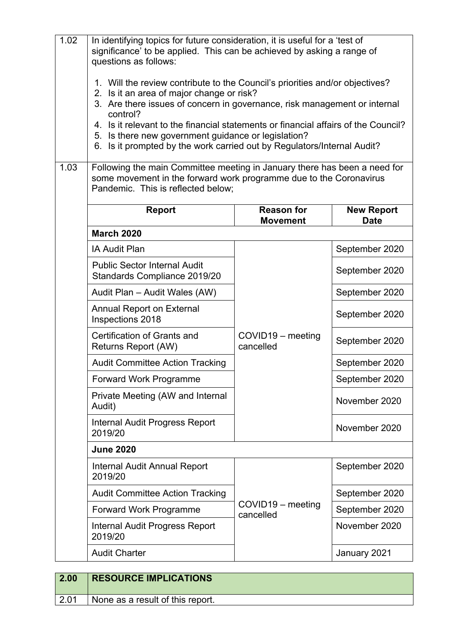| 1.02<br>1.03 | In identifying topics for future consideration, it is useful for a 'test of<br>significance' to be applied. This can be achieved by asking a range of<br>questions as follows:<br>1. Will the review contribute to the Council's priorities and/or objectives?<br>2. Is it an area of major change or risk?<br>3. Are there issues of concern in governance, risk management or internal<br>control?<br>4. Is it relevant to the financial statements or financial affairs of the Council?<br>5. Is there new government guidance or legislation?<br>6. Is it prompted by the work carried out by Regulators/Internal Audit?<br>Following the main Committee meeting in January there has been a need for |                                      |                                  |
|--------------|-----------------------------------------------------------------------------------------------------------------------------------------------------------------------------------------------------------------------------------------------------------------------------------------------------------------------------------------------------------------------------------------------------------------------------------------------------------------------------------------------------------------------------------------------------------------------------------------------------------------------------------------------------------------------------------------------------------|--------------------------------------|----------------------------------|
|              | some movement in the forward work programme due to the Coronavirus<br>Pandemic. This is reflected below;                                                                                                                                                                                                                                                                                                                                                                                                                                                                                                                                                                                                  |                                      |                                  |
|              | <b>Report</b>                                                                                                                                                                                                                                                                                                                                                                                                                                                                                                                                                                                                                                                                                             | <b>Reason for</b><br><b>Movement</b> | <b>New Report</b><br><b>Date</b> |
|              | <b>March 2020</b>                                                                                                                                                                                                                                                                                                                                                                                                                                                                                                                                                                                                                                                                                         |                                      |                                  |
|              | <b>IA Audit Plan</b>                                                                                                                                                                                                                                                                                                                                                                                                                                                                                                                                                                                                                                                                                      |                                      | September 2020                   |
|              | <b>Public Sector Internal Audit</b><br>Standards Compliance 2019/20                                                                                                                                                                                                                                                                                                                                                                                                                                                                                                                                                                                                                                       |                                      | September 2020                   |
|              | Audit Plan - Audit Wales (AW)                                                                                                                                                                                                                                                                                                                                                                                                                                                                                                                                                                                                                                                                             |                                      | September 2020                   |
|              | <b>Annual Report on External</b><br>Inspections 2018                                                                                                                                                                                                                                                                                                                                                                                                                                                                                                                                                                                                                                                      |                                      | September 2020                   |
|              | Certification of Grants and<br><b>Returns Report (AW)</b>                                                                                                                                                                                                                                                                                                                                                                                                                                                                                                                                                                                                                                                 | COVID19 – meeting<br>cancelled       | September 2020                   |
|              | <b>Audit Committee Action Tracking</b>                                                                                                                                                                                                                                                                                                                                                                                                                                                                                                                                                                                                                                                                    |                                      | September 2020                   |
|              | <b>Forward Work Programme</b>                                                                                                                                                                                                                                                                                                                                                                                                                                                                                                                                                                                                                                                                             |                                      | September 2020                   |
|              | Private Meeting (AW and Internal<br>Audit)                                                                                                                                                                                                                                                                                                                                                                                                                                                                                                                                                                                                                                                                |                                      | November 2020                    |
|              | <b>Internal Audit Progress Report</b><br>2019/20                                                                                                                                                                                                                                                                                                                                                                                                                                                                                                                                                                                                                                                          |                                      | November 2020                    |
|              | <b>June 2020</b>                                                                                                                                                                                                                                                                                                                                                                                                                                                                                                                                                                                                                                                                                          |                                      |                                  |
|              | <b>Internal Audit Annual Report</b><br>2019/20                                                                                                                                                                                                                                                                                                                                                                                                                                                                                                                                                                                                                                                            |                                      | September 2020                   |
|              | <b>Audit Committee Action Tracking</b>                                                                                                                                                                                                                                                                                                                                                                                                                                                                                                                                                                                                                                                                    |                                      | September 2020                   |
|              | <b>Forward Work Programme</b>                                                                                                                                                                                                                                                                                                                                                                                                                                                                                                                                                                                                                                                                             | COVID19 – meeting<br>cancelled       | September 2020                   |
|              | Internal Audit Progress Report<br>2019/20                                                                                                                                                                                                                                                                                                                                                                                                                                                                                                                                                                                                                                                                 |                                      | November 2020                    |
|              | <b>Audit Charter</b>                                                                                                                                                                                                                                                                                                                                                                                                                                                                                                                                                                                                                                                                                      |                                      | January 2021                     |

| 2.00 | <b>RESOURCE IMPLICATIONS</b>     |
|------|----------------------------------|
| 2.01 | None as a result of this report. |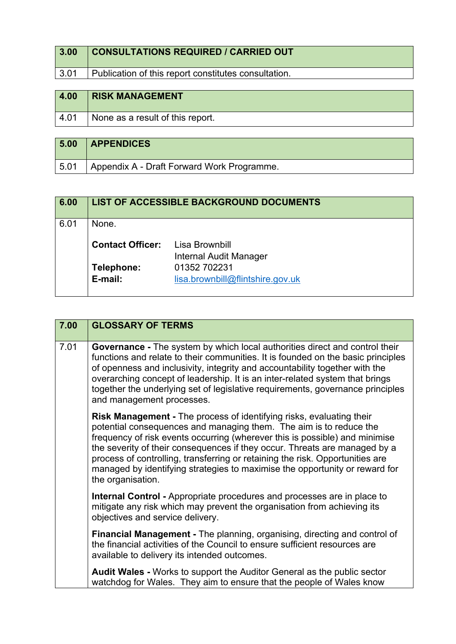| 3.00 | <b>CONSULTATIONS REQUIRED / CARRIED OUT</b>          |
|------|------------------------------------------------------|
| 3.01 | Publication of this report constitutes consultation. |
|      |                                                      |

| 4.00 | <b>RISK MANAGEMENT</b>           |
|------|----------------------------------|
| 4.01 | None as a result of this report. |
|      |                                  |

| 5.00 | <b>APPENDICES</b>                          |
|------|--------------------------------------------|
| 5.01 | Appendix A - Draft Forward Work Programme. |

| 6.00 |                         | LIST OF ACCESSIBLE BACKGROUND DOCUMENTS          |
|------|-------------------------|--------------------------------------------------|
| 6.01 | None.                   |                                                  |
|      | <b>Contact Officer:</b> | Lisa Brownbill<br>Internal Audit Manager         |
|      | Telephone:<br>E-mail:   | 01352 702231<br>lisa.brownbill@flintshire.gov.uk |

| 7.00 | <b>GLOSSARY OF TERMS</b>                                                                                                                                                                                                                                                                                                                                                                                                                                                                            |
|------|-----------------------------------------------------------------------------------------------------------------------------------------------------------------------------------------------------------------------------------------------------------------------------------------------------------------------------------------------------------------------------------------------------------------------------------------------------------------------------------------------------|
| 7.01 | Governance - The system by which local authorities direct and control their<br>functions and relate to their communities. It is founded on the basic principles<br>of openness and inclusivity, integrity and accountability together with the<br>overarching concept of leadership. It is an inter-related system that brings<br>together the underlying set of legislative requirements, governance principles<br>and management processes.                                                       |
|      | <b>Risk Management - The process of identifying risks, evaluating their</b><br>potential consequences and managing them. The aim is to reduce the<br>frequency of risk events occurring (wherever this is possible) and minimise<br>the severity of their consequences if they occur. Threats are managed by a<br>process of controlling, transferring or retaining the risk. Opportunities are<br>managed by identifying strategies to maximise the opportunity or reward for<br>the organisation. |
|      | <b>Internal Control - Appropriate procedures and processes are in place to</b><br>mitigate any risk which may prevent the organisation from achieving its<br>objectives and service delivery.                                                                                                                                                                                                                                                                                                       |
|      | <b>Financial Management - The planning, organising, directing and control of</b><br>the financial activities of the Council to ensure sufficient resources are<br>available to delivery its intended outcomes.                                                                                                                                                                                                                                                                                      |
|      | <b>Audit Wales - Works to support the Auditor General as the public sector</b><br>watchdog for Wales. They aim to ensure that the people of Wales know                                                                                                                                                                                                                                                                                                                                              |